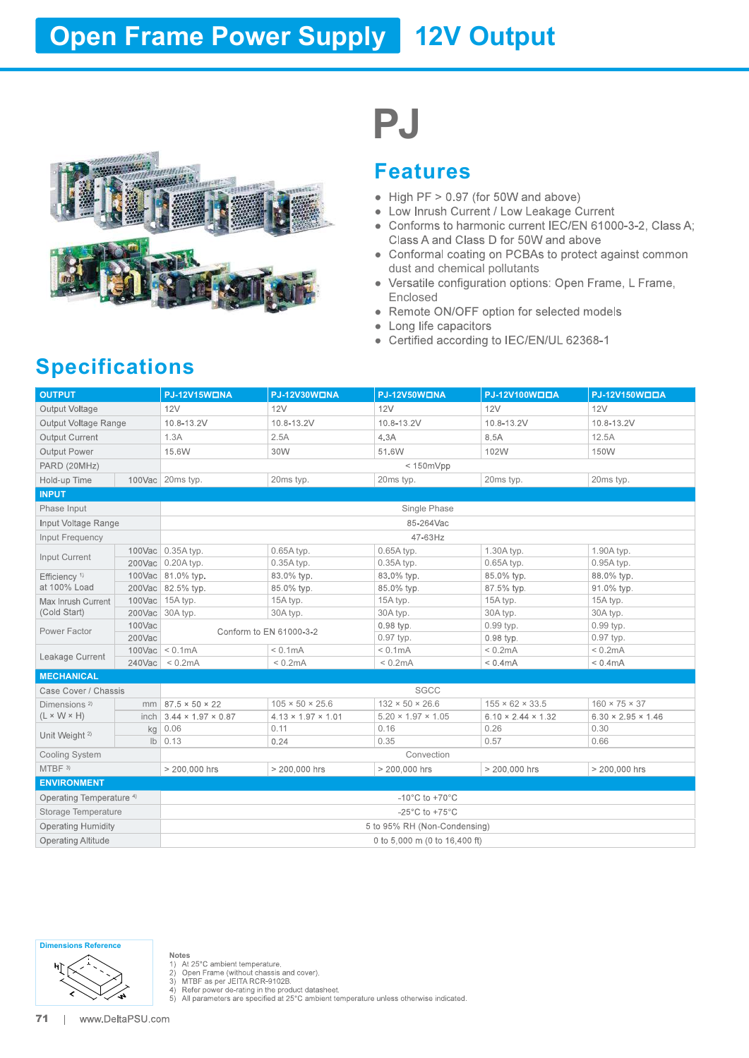# **Open Frame Power Supply 12V Output**



#### Features

- 
- 
- 
- dust and chemical pollutants
- Enclosed<br>● Remote ON/OFF option for selected models
- 
- 
- 

### Specifications

|                                     |        |                                       |                                | PJ                                                                 |                                                                                                                                                                                                                                                                                      |                                                                                                                     |  |  |
|-------------------------------------|--------|---------------------------------------|--------------------------------|--------------------------------------------------------------------|--------------------------------------------------------------------------------------------------------------------------------------------------------------------------------------------------------------------------------------------------------------------------------------|---------------------------------------------------------------------------------------------------------------------|--|--|
|                                     |        |                                       |                                | <b>Features</b>                                                    |                                                                                                                                                                                                                                                                                      |                                                                                                                     |  |  |
| <b>Specifications</b>               |        |                                       |                                | dust and chemical pollutants<br>Enclosed<br>• Long life capacitors | • High PF $> 0.97$ (for 50W and above)<br>• Low Inrush Current / Low Leakage Current<br>Class A and Class D for 50W and above<br>• Versatile configuration options: Open Frame, L Frame,<br>• Remote ON/OFF option for selected models<br>• Certified according to IEC/EN/UL 62368-1 | • Conforms to harmonic current IEC/EN 61000-3-2, Class A;<br>• Conformal coating on PCBAs to protect against common |  |  |
| <b>OUTPUT</b>                       |        | <b>PJ-12V15WONA</b>                   | <b>PJ-12V30WONA</b>            | <b>PJ-12V50WONA</b>                                                | PJ-12V100WOOA                                                                                                                                                                                                                                                                        | PJ-12V150WOOA                                                                                                       |  |  |
| Output Voltage                      |        | 12V                                   | 12V                            | 12V                                                                | 12V                                                                                                                                                                                                                                                                                  | 12V                                                                                                                 |  |  |
| Output Voltage Range                |        | 10.8-13.2V                            | 10.8-13.2V                     | 10.8-13.2V                                                         | 10.8-13.2V                                                                                                                                                                                                                                                                           | 10.8-13.2V                                                                                                          |  |  |
| Output Current                      |        | 1.3A                                  | 2.5A                           | 4.3A                                                               | 8.5A                                                                                                                                                                                                                                                                                 | 12.5A                                                                                                               |  |  |
| Output Power                        |        | 15.6W                                 | 30W                            | 51.6W                                                              | 102W                                                                                                                                                                                                                                                                                 | 150W                                                                                                                |  |  |
| PARD (20MHz)                        |        |                                       |                                | $< 150$ m $Vpp$                                                    |                                                                                                                                                                                                                                                                                      |                                                                                                                     |  |  |
| Hold-up Time                        |        | 100Vac 20ms typ.                      | 20ms typ.                      | 20ms typ.                                                          | 20ms typ.                                                                                                                                                                                                                                                                            | 20ms typ.                                                                                                           |  |  |
| <b>INPUT</b>                        |        |                                       |                                |                                                                    |                                                                                                                                                                                                                                                                                      |                                                                                                                     |  |  |
| Phase Input                         |        |                                       |                                | Single Phase                                                       |                                                                                                                                                                                                                                                                                      |                                                                                                                     |  |  |
| Input Voltage Range                 |        |                                       |                                | 85-264Vac                                                          |                                                                                                                                                                                                                                                                                      |                                                                                                                     |  |  |
|                                     |        |                                       |                                | 47-63Hz                                                            |                                                                                                                                                                                                                                                                                      |                                                                                                                     |  |  |
| Input Frequency                     |        | 100Vac 0.35A typ.                     | 0.65A typ.                     | 0.65A typ.                                                         | 1.30A typ.                                                                                                                                                                                                                                                                           | 1.90A typ.                                                                                                          |  |  |
| Input Current                       |        | 200Vac 0.20A typ.                     | 0.35A typ.                     | 0.35A typ.                                                         | 0.65A typ.                                                                                                                                                                                                                                                                           | 0.95A typ.                                                                                                          |  |  |
| Efficiency <sup>1)</sup>            |        | 100Vac 81.0% typ.                     | 83.0% typ.                     | 83.0% typ.                                                         | 85.0% typ.                                                                                                                                                                                                                                                                           | 88.0% typ.                                                                                                          |  |  |
| at 100% Load                        |        | 200Vac 82.5% typ.                     | 85.0% typ.                     | 85.0% typ.                                                         | 87.5% typ.                                                                                                                                                                                                                                                                           | 91.0% typ.                                                                                                          |  |  |
| Max Inrush Current                  |        | 100Vac 15A typ.                       | 15A typ.                       | 15A typ.                                                           | 15A typ.                                                                                                                                                                                                                                                                             | 15A typ.                                                                                                            |  |  |
| (Cold Start)                        |        | 200Vac 30A typ.                       | 30A typ.                       | 30A typ.                                                           | 30A typ.                                                                                                                                                                                                                                                                             | 30A typ.                                                                                                            |  |  |
| Power Factor                        | 100Vac |                                       | Conform to EN 61000-3-2        | $0.98$ typ.                                                        | 0.99 typ.                                                                                                                                                                                                                                                                            | 0.99 typ.                                                                                                           |  |  |
|                                     | 200Vac | $100\text{Vac}$ < 0.1mA               | $< 0.1$ m $A$                  | 0.97 typ.<br>$< 0.1$ m $A$                                         | 0.98 typ.<br>< 0.2mA                                                                                                                                                                                                                                                                 | 0.97 typ.<br>$< 0.2$ m $A$                                                                                          |  |  |
| Leakage Current                     |        | $240\text{Vac}$ < 0.2mA               | $< 0.2$ m $A$                  | $< 0.2$ m $A$                                                      | $< 0.4 \text{mA}$                                                                                                                                                                                                                                                                    | $< 0.4$ m $A$                                                                                                       |  |  |
| <b>MECHANICAL</b>                   |        |                                       |                                |                                                                    |                                                                                                                                                                                                                                                                                      |                                                                                                                     |  |  |
| Case Cover / Chassis                |        |                                       |                                | SGCC                                                               |                                                                                                                                                                                                                                                                                      |                                                                                                                     |  |  |
| Dimensions <sup>2)</sup>            |        | $mm$ 87.5 $\times$ 50 $\times$ 22     | $105 \times 50 \times 25.6$    | $132 \times 50 \times 26.6$                                        | $155 \times 62 \times 33.5$                                                                                                                                                                                                                                                          | $160 \times 75 \times 37$                                                                                           |  |  |
| $(L \times W \times H)$             |        | inch 3.44 $\times$ 1.97 $\times$ 0.87 | $4.13 \times 1.97 \times 1.01$ | $5.20 \times 1.97 \times 1.05$                                     | $6.10 \times 2.44 \times 1.32$                                                                                                                                                                                                                                                       | $6.30 \times 2.95 \times 1.46$                                                                                      |  |  |
|                                     |        | $kg$ 0.06                             | 0.11                           | 0.16                                                               | 0.26                                                                                                                                                                                                                                                                                 | 0.30                                                                                                                |  |  |
| Unit Weight <sup>2)</sup>           |        | $\mathsf{lb} \mid 0.13$               | 0.24                           | 0.35                                                               | 0.57                                                                                                                                                                                                                                                                                 | 0.66                                                                                                                |  |  |
| Cooling System                      |        |                                       |                                | Convection                                                         |                                                                                                                                                                                                                                                                                      |                                                                                                                     |  |  |
| $MTBF$ <sup>3)</sup>                |        | > 200,000 hrs                         | > 200,000 hrs                  | > 200,000 hrs                                                      | > 200,000 hrs                                                                                                                                                                                                                                                                        | > 200,000 hrs                                                                                                       |  |  |
| <b>ENVIRONMENT</b>                  |        |                                       |                                |                                                                    |                                                                                                                                                                                                                                                                                      |                                                                                                                     |  |  |
| Operating Temperature <sup>4)</sup> |        |                                       |                                | $-10^{\circ}$ C to $+70^{\circ}$ C                                 |                                                                                                                                                                                                                                                                                      |                                                                                                                     |  |  |
| Storage Temperature                 |        | $-25^{\circ}$ C to $+75^{\circ}$ C    |                                |                                                                    |                                                                                                                                                                                                                                                                                      |                                                                                                                     |  |  |
| <b>Operating Humidity</b>           |        | 5 to 95% RH (Non-Condensing)          |                                |                                                                    |                                                                                                                                                                                                                                                                                      |                                                                                                                     |  |  |
| <b>Operating Altitude</b>           |        |                                       |                                | 0 to 5,000 m (0 to 16,400 ft)                                      |                                                                                                                                                                                                                                                                                      |                                                                                                                     |  |  |
|                                     |        |                                       |                                |                                                                    |                                                                                                                                                                                                                                                                                      |                                                                                                                     |  |  |



- -

Notes<br>
1) At 25°C ambient temperature.<br>
2) Open Frame (without chassis and cover).<br>
3) MTBF as per JEITA RCR-9102B.<br>
4) Refer power de-rating in the product datasheet.<br>
5) All parameters are specified at 25°C ambient tempe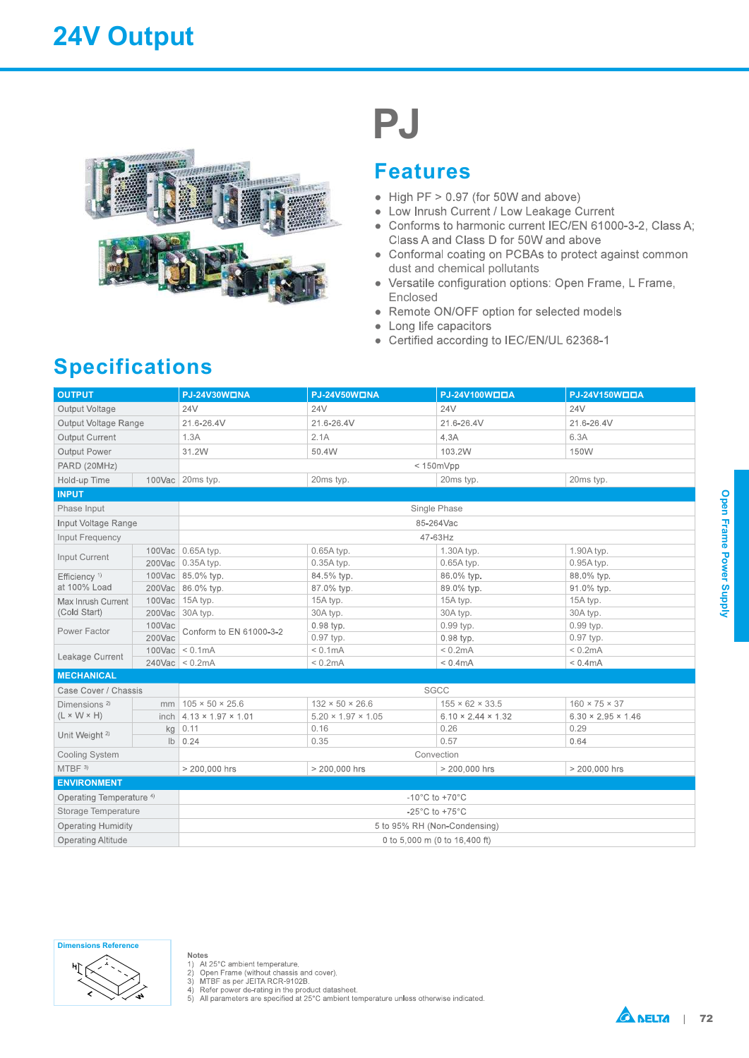## 24V Output



# **PJ**

#### Features

- 
- 
- 
- dust and chemical pollutants
- Enclosed<br>Remote ON/OFF option for selected models
- 
- 
- 

## Specifications

| <b>Specifications</b>                                |        |                                                                             | $\bullet$<br>$\bullet$<br>$\bullet$    | PJ<br><b>Features</b><br>Enclosed | • High PF $> 0.97$ (for 50W and above)<br>• Low Inrush Current / Low Leakage Current<br>Class A and Class D for 50W and above<br>dust and chemical pollutants<br>Remote ON/OFF option for selected models<br>Long life capacitors<br>Certified according to IEC/EN/UL 62368-1 | • Conforms to harmonic current IEC/EN 61000-3-2, Class A;<br>• Conformal coating on PCBAs to protect against common<br>• Versatile configuration options: Open Frame, L Frame, |                         |  |  |  |  |  |  |
|------------------------------------------------------|--------|-----------------------------------------------------------------------------|----------------------------------------|-----------------------------------|-------------------------------------------------------------------------------------------------------------------------------------------------------------------------------------------------------------------------------------------------------------------------------|--------------------------------------------------------------------------------------------------------------------------------------------------------------------------------|-------------------------|--|--|--|--|--|--|
| <b>OUTPUT</b>                                        |        | <b>PJ-24V30WONA</b>                                                         | <b>PJ-24V50WONA</b>                    |                                   | PJ-24V100WOOA                                                                                                                                                                                                                                                                 | PJ-24V150WOOA                                                                                                                                                                  |                         |  |  |  |  |  |  |
| Output Voltage                                       |        | 24V                                                                         | <b>24V</b>                             |                                   | 24V                                                                                                                                                                                                                                                                           | 24V                                                                                                                                                                            |                         |  |  |  |  |  |  |
| Output Voltage Range                                 |        | 21.6-26.4V                                                                  | 21.6-26.4V                             |                                   | 21.6-26.4V                                                                                                                                                                                                                                                                    | 21.6-26.4V                                                                                                                                                                     |                         |  |  |  |  |  |  |
| Output Current                                       |        | 1.3A                                                                        | 2.1A                                   |                                   | 4.3A                                                                                                                                                                                                                                                                          | 6.3A                                                                                                                                                                           |                         |  |  |  |  |  |  |
| Output Power                                         |        | 31.2W<br>50.4W                                                              |                                        |                                   | 103.2W                                                                                                                                                                                                                                                                        | 150W                                                                                                                                                                           |                         |  |  |  |  |  |  |
| PARD (20MHz)                                         |        |                                                                             |                                        |                                   | $< 150$ m $Vpp$                                                                                                                                                                                                                                                               |                                                                                                                                                                                |                         |  |  |  |  |  |  |
| Hold-up Time                                         |        | 100Vac 20ms typ.                                                            | 20ms typ.                              |                                   | 20ms typ.                                                                                                                                                                                                                                                                     | 20ms typ.                                                                                                                                                                      |                         |  |  |  |  |  |  |
| <b>INPUT</b>                                         |        |                                                                             |                                        |                                   |                                                                                                                                                                                                                                                                               |                                                                                                                                                                                |                         |  |  |  |  |  |  |
| Phase Input                                          |        |                                                                             |                                        |                                   | Single Phase                                                                                                                                                                                                                                                                  |                                                                                                                                                                                |                         |  |  |  |  |  |  |
| Input Voltage Range                                  |        |                                                                             |                                        | 85-264Vac                         |                                                                                                                                                                                                                                                                               |                                                                                                                                                                                |                         |  |  |  |  |  |  |
| Input Frequency                                      |        |                                                                             |                                        | 47-63Hz                           |                                                                                                                                                                                                                                                                               |                                                                                                                                                                                | Open Frame Power Supply |  |  |  |  |  |  |
| Input Current                                        |        | 100Vac 0.65A typ.<br>0.65A typ.                                             |                                        |                                   | 1.30A typ.                                                                                                                                                                                                                                                                    | 1.90A typ.                                                                                                                                                                     |                         |  |  |  |  |  |  |
|                                                      |        | 200Vac 0.35A typ.                                                           | 0.35A typ.                             |                                   | 0.65A typ.                                                                                                                                                                                                                                                                    | 0.95A typ.                                                                                                                                                                     |                         |  |  |  |  |  |  |
| Efficiency $1$<br>at 100% Load                       |        | 100Vac 85.0% typ.<br>200Vac 86.0% typ.                                      | 84.5% typ.<br>87.0% typ.               |                                   | 86.0% typ.<br>89.0% typ.                                                                                                                                                                                                                                                      | 88.0% typ.<br>91.0% typ.                                                                                                                                                       |                         |  |  |  |  |  |  |
| Max Inrush Current                                   |        | 100Vac 15A typ.                                                             | 15A typ.                               |                                   | 15A typ.                                                                                                                                                                                                                                                                      | 15A typ.                                                                                                                                                                       |                         |  |  |  |  |  |  |
| (Cold Start)                                         |        | 200Vac 30A typ.                                                             | 30A typ.                               |                                   | 30A typ.                                                                                                                                                                                                                                                                      | 30A typ.                                                                                                                                                                       |                         |  |  |  |  |  |  |
|                                                      | 100Vac |                                                                             | 0.98 typ.                              |                                   | 0.99 typ.                                                                                                                                                                                                                                                                     | 0.99 typ.                                                                                                                                                                      |                         |  |  |  |  |  |  |
| Power Factor                                         | 200Vac | Conform to EN 61000-3-2                                                     | 0.97 typ.                              |                                   | 0.98 typ.                                                                                                                                                                                                                                                                     | 0.97 typ.                                                                                                                                                                      |                         |  |  |  |  |  |  |
| Leakage Current                                      |        | $100\text{Vac}$ < 0.1mA                                                     | $< 0.1$ m $A$                          |                                   | $< 0.2$ m $A$                                                                                                                                                                                                                                                                 | $< 0.2$ m $A$                                                                                                                                                                  |                         |  |  |  |  |  |  |
|                                                      |        | $240\text{Vac}$ < 0.2mA                                                     | $< 0.2 \text{mA}$                      |                                   | $< 0.4$ m $A$                                                                                                                                                                                                                                                                 | $< 0.4$ m $A$                                                                                                                                                                  |                         |  |  |  |  |  |  |
| <b>MECHANICAL</b>                                    |        |                                                                             |                                        |                                   |                                                                                                                                                                                                                                                                               |                                                                                                                                                                                |                         |  |  |  |  |  |  |
| Case Cover / Chassis                                 |        |                                                                             |                                        |                                   | SGCC                                                                                                                                                                                                                                                                          |                                                                                                                                                                                |                         |  |  |  |  |  |  |
| Dimensions <sup>2)</sup>                             |        | $mm$ 105 × 50 × 25.6                                                        | $132 \times 50 \times 26.6$            |                                   | $155 \times 62 \times 33.5$                                                                                                                                                                                                                                                   | $160 \times 75 \times 37$                                                                                                                                                      |                         |  |  |  |  |  |  |
| $(L \times W \times H)$<br>Unit Weight <sup>2)</sup> |        | inch $4.13 \times 1.97 \times 1.01$<br>$kg$ 0.11                            | $5.20 \times 1.97 \times 1.05$<br>0.16 |                                   | $6.10 \times 2.44 \times 1.32$<br>0.26                                                                                                                                                                                                                                        | $6.30 \times 2.95 \times 1.46$<br>0.29                                                                                                                                         |                         |  |  |  |  |  |  |
|                                                      |        | $\mathsf{lb} \mid 0.24$                                                     | 0.35                                   |                                   | 0.57                                                                                                                                                                                                                                                                          | 0.64                                                                                                                                                                           |                         |  |  |  |  |  |  |
| Cooling System                                       |        |                                                                             |                                        |                                   | Convection                                                                                                                                                                                                                                                                    |                                                                                                                                                                                |                         |  |  |  |  |  |  |
| $MTBF$ <sup>3)</sup>                                 |        | > 200,000 hrs                                                               | > 200,000 hrs                          | > 200,000 hrs<br>> 200,000 hrs    |                                                                                                                                                                                                                                                                               |                                                                                                                                                                                |                         |  |  |  |  |  |  |
| <b>ENVIRONMENT</b>                                   |        |                                                                             |                                        |                                   |                                                                                                                                                                                                                                                                               |                                                                                                                                                                                |                         |  |  |  |  |  |  |
| Operating Temperature <sup>4)</sup>                  |        |                                                                             |                                        |                                   |                                                                                                                                                                                                                                                                               |                                                                                                                                                                                |                         |  |  |  |  |  |  |
| Storage Temperature                                  |        | -10 $^{\circ}$ C to +70 $^{\circ}$ C<br>$-25^{\circ}$ C to +75 $^{\circ}$ C |                                        |                                   |                                                                                                                                                                                                                                                                               |                                                                                                                                                                                |                         |  |  |  |  |  |  |
| <b>Operating Humidity</b>                            |        | 5 to 95% RH (Non-Condensing)                                                |                                        |                                   |                                                                                                                                                                                                                                                                               |                                                                                                                                                                                |                         |  |  |  |  |  |  |
| <b>Operating Altitude</b>                            |        | 0 to 5,000 m (0 to 16,400 ft)                                               |                                        |                                   |                                                                                                                                                                                                                                                                               |                                                                                                                                                                                |                         |  |  |  |  |  |  |
|                                                      |        |                                                                             |                                        |                                   |                                                                                                                                                                                                                                                                               |                                                                                                                                                                                |                         |  |  |  |  |  |  |



- 
- 

Notes<br>
1) At 25°C ambient temperature.<br>
2) Open Frame (without chassis and cover).<br>
3) MTBF as per JEITA RCR-9102B.<br>
4) Refer power de-rating in the product datasheet.<br>
5) All parameters are specified at 25°C ambient tempe